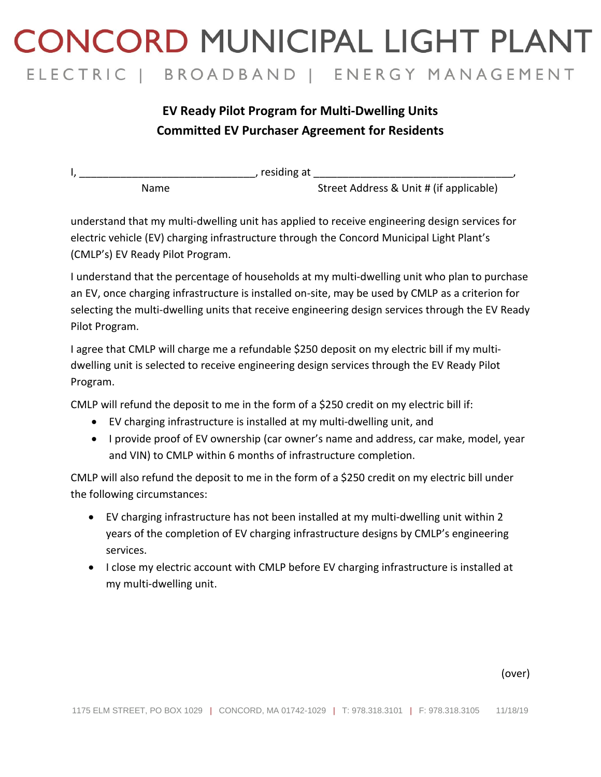## **CONCORD MUNICIPAL LIGHT PLANT** ELECTRIC | BROADBAND | ENERGY MANAGEMENT

## **EV Ready Pilot Program for Multi-Dwelling Units Committed EV Purchaser Agreement for Residents**

| residing at |                                         |  |
|-------------|-----------------------------------------|--|
| Name        | Street Address & Unit # (if applicable) |  |

understand that my multi-dwelling unit has applied to receive engineering design services for electric vehicle (EV) charging infrastructure through the Concord Municipal Light Plant's (CMLP's) EV Ready Pilot Program.

I understand that the percentage of households at my multi-dwelling unit who plan to purchase an EV, once charging infrastructure is installed on-site, may be used by CMLP as a criterion for selecting the multi-dwelling units that receive engineering design services through the EV Ready Pilot Program.

I agree that CMLP will charge me a refundable \$250 deposit on my electric bill if my multidwelling unit is selected to receive engineering design services through the EV Ready Pilot Program.

CMLP will refund the deposit to me in the form of a \$250 credit on my electric bill if:

- EV charging infrastructure is installed at my multi-dwelling unit, and
- I provide proof of EV ownership (car owner's name and address, car make, model, year and VIN) to CMLP within 6 months of infrastructure completion.

CMLP will also refund the deposit to me in the form of a \$250 credit on my electric bill under the following circumstances:

- EV charging infrastructure has not been installed at my multi-dwelling unit within 2 years of the completion of EV charging infrastructure designs by CMLP's engineering services.
- I close my electric account with CMLP before EV charging infrastructure is installed at my multi-dwelling unit.